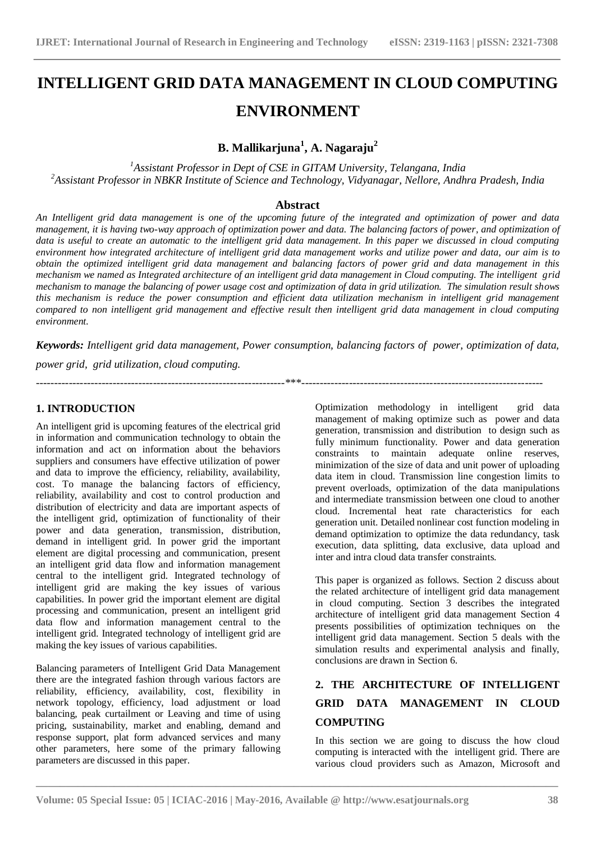# **INTELLIGENT GRID DATA MANAGEMENT IN CLOUD COMPUTING ENVIRONMENT**

**B. Mallikarjuna<sup>1</sup> , A. Nagaraju<sup>2</sup>**

*<sup>1</sup>Assistant Professor in Dept of CSE in GITAM University, Telangana, India <sup>2</sup>Assistant Professor in NBKR Institute of Science and Technology, Vidyanagar, Nellore, Andhra Pradesh, India*

### **Abstract**

*An Intelligent grid data management is one of the upcoming future of the integrated and optimization of power and data management, it is having two-way approach of optimization power and data. The balancing factors of power, and optimization of data is useful to create an automatic to the intelligent grid data management. In this paper we discussed in cloud computing environment how integrated architecture of intelligent grid data management works and utilize power and data, our aim is to obtain the optimized intelligent grid data management and balancing factors of power grid and data management in this mechanism we named as Integrated architecture of an intelligent grid data management in Cloud computing. The intelligent grid mechanism to manage the balancing of power usage cost and optimization of data in grid utilization. The simulation result shows this mechanism is reduce the power consumption and efficient data utilization mechanism in intelligent grid management compared to non intelligent grid management and effective result then intelligent grid data management in cloud computing environment.*

*Keywords: Intelligent grid data management, Power consumption, balancing factors of power, optimization of data,*

--------------------------------------------------------------------\*\*\*------------------------------------------------------------------

*power grid, grid utilization, cloud computing.*

## **1. INTRODUCTION**

An intelligent grid is upcoming features of the electrical grid in information and communication technology to obtain the information and act on information about the behaviors suppliers and consumers have effective utilization of power and data to improve the efficiency, reliability, availability, cost. To manage the balancing factors of efficiency, reliability, availability and cost to control production and distribution of electricity and data are important aspects of the intelligent grid, optimization of functionality of their power and data generation, transmission, distribution, demand in intelligent grid. In power grid the important element are digital processing and communication, present an intelligent grid data flow and information management central to the intelligent grid. Integrated technology of intelligent grid are making the key issues of various capabilities. In power grid the important element are digital processing and communication, present an intelligent grid data flow and information management central to the intelligent grid. Integrated technology of intelligent grid are making the key issues of various capabilities.

Balancing parameters of Intelligent Grid Data Management there are the integrated fashion through various factors are reliability, efficiency, availability, cost, flexibility in network topology, efficiency, load adjustment or load balancing, peak curtailment or Leaving and time of using pricing, sustainability, market and enabling, demand and response support, plat form advanced services and many other parameters, here some of the primary fallowing parameters are discussed in this paper.

Optimization methodology in intelligent grid data management of making optimize such as power and data generation, transmission and distribution to design such as fully minimum functionality. Power and data generation constraints to maintain adequate online reserves, minimization of the size of data and unit power of uploading data item in cloud. Transmission line congestion limits to prevent overloads, optimization of the data manipulations and intermediate transmission between one cloud to another cloud. Incremental heat rate characteristics for each generation unit. Detailed nonlinear cost function modeling in demand optimization to optimize the data redundancy, task execution, data splitting, data exclusive, data upload and inter and intra cloud data transfer constraints.

This paper is organized as follows. Section 2 discuss about the related architecture of intelligent grid data management in cloud computing. Section 3 describes the integrated architecture of intelligent grid data management Section 4 presents possibilities of optimization techniques on the intelligent grid data management. Section 5 deals with the simulation results and experimental analysis and finally, conclusions are drawn in Section 6.

# **2. THE ARCHITECTURE OF INTELLIGENT GRID DATA MANAGEMENT IN CLOUD COMPUTING**

In this section we are going to discuss the how cloud computing is interacted with the intelligent grid. There are various cloud providers such as Amazon, Microsoft and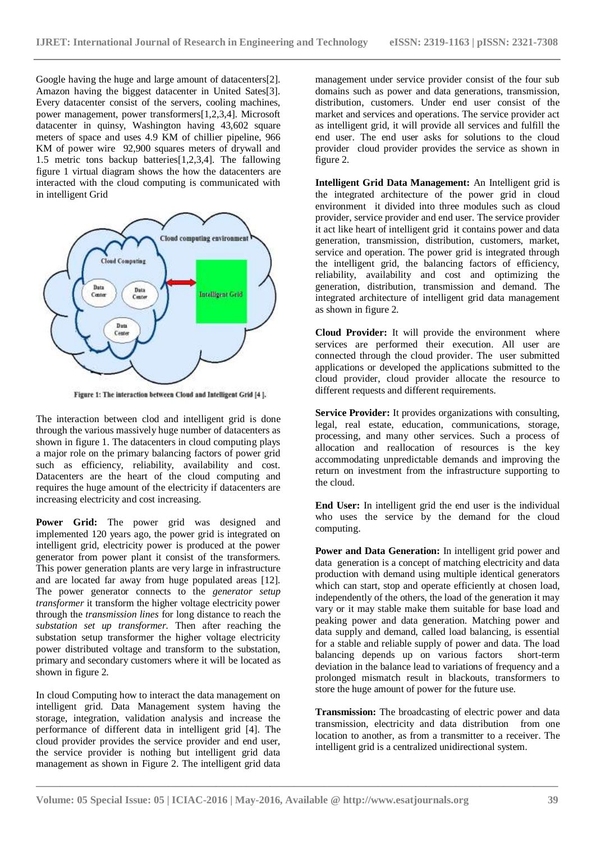Google having the huge and large amount of datacenters[2]. Amazon having the biggest datacenter in United Sates[3]. Every datacenter consist of the servers, cooling machines, power management, power transformers[1,2,3,4]. Microsoft datacenter in quinsy, Washington having 43,602 square meters of space and uses 4.9 KM of chillier pipeline, 966 KM of power wire 92,900 squares meters of drywall and 1.5 metric tons backup batteries[1,2,3,4]. The fallowing figure 1 virtual diagram shows the how the datacenters are interacted with the cloud computing is communicated with in intelligent Grid



Figure 1: The interaction between Cloud and Intelligent Grid [4].

The interaction between clod and intelligent grid is done through the various massively huge number of datacenters as shown in figure 1. The datacenters in cloud computing plays a major role on the primary balancing factors of power grid such as efficiency, reliability, availability and cost. Datacenters are the heart of the cloud computing and requires the huge amount of the electricity if datacenters are increasing electricity and cost increasing.

Power Grid: The power grid was designed and implemented 120 years ago, the power grid is integrated on intelligent grid, electricity power is produced at the power generator from power plant it consist of the transformers. This power generation plants are very large in infrastructure and are located far away from huge populated areas [12]. The power generator connects to the *generator setup transformer* it transform the higher voltage electricity power through the *transmission lines* for long distance to reach the *substation set up transformer.* Then after reaching the substation setup transformer the higher voltage electricity power distributed voltage and transform to the substation, primary and secondary customers where it will be located as shown in figure 2.

In cloud Computing how to interact the data management on intelligent grid. Data Management system having the storage, integration, validation analysis and increase the performance of different data in intelligent grid [4]. The cloud provider provides the service provider and end user, the service provider is nothing but intelligent grid data management as shown in Figure 2. The intelligent grid data

management under service provider consist of the four sub domains such as power and data generations, transmission, distribution, customers. Under end user consist of the market and services and operations. The service provider act as intelligent grid, it will provide all services and fulfill the end user. The end user asks for solutions to the cloud provider cloud provider provides the service as shown in figure 2.

**Intelligent Grid Data Management:** An Intelligent grid is the integrated architecture of the power grid in cloud environment it divided into three modules such as cloud provider, service provider and end user. The service provider it act like heart of intelligent grid it contains power and data generation, transmission, distribution, customers, market, service and operation. The power grid is integrated through the intelligent grid, the balancing factors of efficiency, reliability, availability and cost and optimizing the generation, distribution, transmission and demand. The integrated architecture of intelligent grid data management as shown in figure 2.

**Cloud Provider:** It will provide the environment where services are performed their execution. All user are connected through the cloud provider. The user submitted applications or developed the applications submitted to the cloud provider, cloud provider allocate the resource to different requests and different requirements.

**Service Provider:** It provides organizations with consulting, legal, real estate, education, communications, storage, processing, and many other services. Such a process of allocation and reallocation of resources is the key accommodating unpredictable demands and improving the return on investment from the infrastructure supporting to the cloud.

**End User:** In intelligent grid the end user is the individual who uses the service by the demand for the cloud computing.

**Power and Data Generation:** In intelligent grid power and data generation is a concept of matching electricity and data production with demand using multiple identical generators which can start, stop and operate efficiently at chosen load, independently of the others, the load of the generation it may vary or it may stable make them suitable for base load and peaking power and data generation. Matching power and data supply and demand, called load balancing, is essential for a stable and reliable supply of power and data. The load balancing depends up on various factors short-term deviation in the balance lead to variations of frequency and a prolonged mismatch result in blackouts, transformers to store the huge amount of power for the future use.

**Transmission:** The broadcasting of [electric power and data](https://en.wikipedia.org/wiki/Electric_power_transmission)  [transmission,](https://en.wikipedia.org/wiki/Electric_power_transmission) [electricity and data distribution](https://en.wikipedia.org/wiki/Electricity_distribution) from one location to another, as from a transmitter to a receiver. The intelligent grid is a centralized unidirectional system.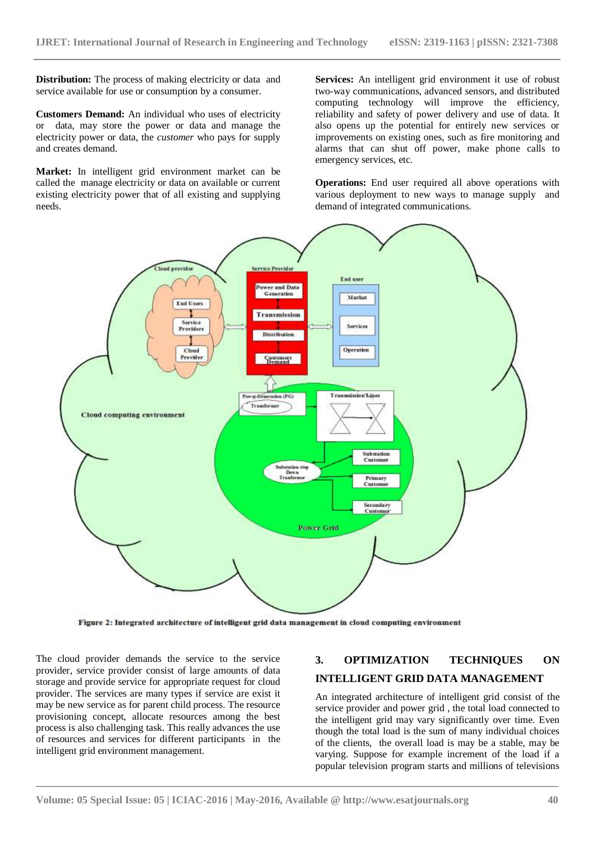**Distribution:** The process of making electricity or data and service available for use or consumption by a consumer.

**Customers Demand:** An individual who uses of electricity or data, may store the power or data and manage the electricity power or data, the *customer* who pays for supply and creates demand.

**Market:** In intelligent grid environment market can be called the manage electricity or data on available or current existing electricity power that of all existing and supplying needs.

**Services:** An intelligent grid environment it use of robust two-way communications, advanced sensors, and distributed computing technology will improve the efficiency, reliability and safety of power delivery and use of data. It also opens up the potential for entirely new services or improvements on existing ones, such as fire monitoring and alarms that can shut off power, make phone calls to emergency services, etc.

**Operations:** End user required all above operations with various deployment to new ways to manage supply and demand of integrated communications.



Figure 2: Integrated architecture of intelligent grid data management in cloud computing environment

The cloud provider demands the service to the service provider, service provider consist of large amounts of data storage and provide service for appropriate request for cloud provider. The services are many types if service are exist it may be new service as for parent child process. The resource provisioning concept, allocate resources among the best process is also challenging task. This really advances the use of resources and services for different participants in the intelligent grid environment management.

# **3. OPTIMIZATION TECHNIQUES ON INTELLIGENT GRID DATA MANAGEMENT**

An integrated architecture of intelligent grid consist of the service provider and power grid , the total load connected to the intelligent grid may vary significantly over time. Even though the total load is the sum of many individual choices of the clients, the overall load is may be a stable, may be varying. Suppose for example increment of the load if a popular television program starts and millions of televisions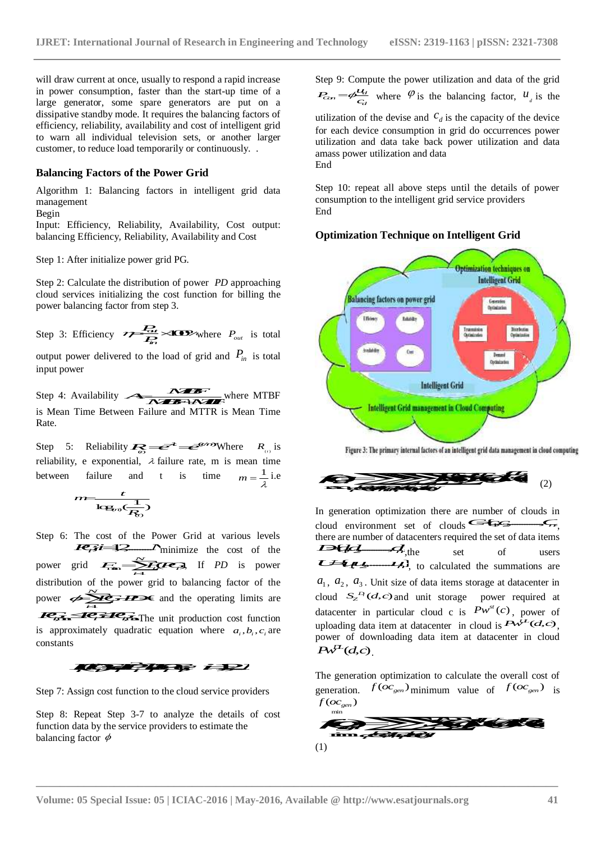will draw current at once, usually to respond a rapid increase in power consumption, faster than the start-up time of a large generator, some spare generators are put on a dissipative standby mode. It requires the balancing factors of efficiency, reliability, availability and cost of intelligent grid to warn all individual television sets, or another larger customer, to reduce load temporarily or continuously. .

#### **Balancing Factors of the Power Grid**

Algorithm 1: Balancing factors in intelligent grid data management

Begin

Input: Efficiency, Reliability, Availability, Cost output: balancing Efficiency, Reliability, Availability and Cost

Step 1: After initialize power grid PG.

Step 2: Calculate the distribution of power *PD* approaching cloud services initializing the cost function for billing the power balancing factor from step 3.

 $P_{out}$  is total  $P_{out}$  is total  $P_{out}$  is total  $P_{out}$ 

output power delivered to the load of grid and  $P_{in}$  is total input power

where MTBF is Mean Time Between Failure and MTTR is Mean Time Rate.

Step 5: Reliability  $\mathcal{R}_{\odot} \equiv \vec{e}^* \equiv \vec{e}^*$  Where  $R_{\odot}$  is rid<br>
intelligent grid data<br>
bility, Cost output:<br>
bility and Cost<br>
wer *PD* approaching<br>
ction for billing the<br>
where *P<sub>out</sub>* is total<br>
grid and *P<sub>in</sub>* is total<br>
grid and *P<sub>in</sub>* is total<br>
grid and *P<sub>in</sub>* is total<br>
gri reliability, e exponential,  $\lambda$  failure rate, m is mean time between failure and t is time  $m = \frac{1}{2}$  i.e  $\frac{P_{\alpha}}{P_{\alpha}}$  > **(Co)**<br>
wered to the load of<br>
ty<br>
ty<br>
tween Failure and N<br>
strike and t is<br>
the rand t is<br>  $\frac{t}{k_{\alpha}}$  and t is<br>  $\frac{t}{k_{\alpha}}$  and t is<br>  $\frac{t}{k_{\alpha}}$  and  $\frac{t}{k_{\alpha}}$  and  $\frac{t}{k_{\alpha}}$  and  $\frac{t}{k_{\alpha}}$  a *t* 

$$
m = \frac{t}{\log_{10}(\frac{1}{R_0})}
$$
   
 In general

**and Balancing factors in intelligent grid dat**<br>
Balancing factors in intelligent grid dat<br>
necy, Reliability, Availability, Cost output<br>
intelligent grid PG.<br>
ate the distribution of power *PD* approaching<br>
initializing Step 6: The cost of the Power Grid at various levels  $\frac{1}{2}$  minimize the cost of the power grid  $\sum_{n=1}^{\infty}$   $\sum_{n=1}^{\infty}$  *z*  $\sum_{n=1}^{\infty}$  *i*  $\sum_{n=1}^{\infty}$  *i* s power ally to respond a rapal necessarily constrained a Step 9:<br>
The method and rapal method and response the balancing factors of unilization sets, or another larger<br>
divided consists the balancing factors of unilization sets, Final of power *I D* approach the cost function for billin<br>step 3.<br>**i** is ne load of grid and  $P_{in}$  is<br>**i** is ne load of grid and  $P_{in}$  is<br>**i** is near and MTTR is Mean<br>**i** failure rate, m is mean<br>**i** is time  $m =$ <br>**Power** distribution of the power grid to balancing factor of the distribution of the power grid to balancing factor of the  $a_1, a_2, a_3$ . Unit size of data items storage<br>power  $\overbrace{\phantom{a}}^{x}$  *i*  $T_{\text{max}}$   $T_{\text{max}}$  The unit production cost function is approximately quadratic equation where  $a_i, b_i, c_i$  are constants



Step 7: Assign cost function to the cloud service providers

Step 8: Repeat Step 3-7 to analyze the details of cost function data by the service providers to estimate the balancing factor  $\phi$  $\phi$  and  $\phi$  is the set of  $\mathbf{m}$  is the set of  $\mathbf{m}$  is the set of  $\phi$ 

Step 9: Compute the power utilization and data of the grid *d*<sub>*C<sub>cn</sub>*</sub>  $=$   $\phi \frac{u_{\ell}}{c_d}$  where  $\varphi$  is the balancing factor,  $u_{\ell}$  is the

utilization of the devise and  $C_d$  is the capacity of the device for each device consumption in grid do occurrences power utilization and data take back power utilization and data amass power utilization and data End

Step 10: repeat all above steps until the details of power consumption to the intelligent grid service providers End

**Optimization Technique on Intelligent Grid**



| $R_{\text{c},\text{b}}$ is | <b>Figure 3:</b> The primary internal factors of an intelligent grid data management in cloud computing time |
|----------------------------|--------------------------------------------------------------------------------------------------------------|
| $\frac{1}{\lambda}$ i.e    | (2)                                                                                                          |

 $\frac{1}{R_2}$  In generation optimization there are number of clouds in minimize the cost of the **THE A**, the set of users<br>
minimize the cost of the **THE A**, the set of users<br>  $\frac{1}{2}$ Figure 3: The primary internal factors of an intelligent grade mean time<br>  $m = \frac{1}{\lambda}$  i.e<br>
In generation optimization there are num<br>
cloud environment set of clouds<br>
there are number of datacenters required there are num cloud environment set of clouds  $\leftarrow$ there are number of datacenters required the set of data items ,the set of users , to calculated the summations are  $a_1, a_2, a_3$ . Unit size of data items storage at datacenter in cloud  $S_Z^D(d,c)$  and unit storage power required at (*b*<sub>1</sub> *D<sub>inter</sub> )*<br>
Intelligent Grid **mangement** in Cloud Computing<br>
Intelligent Grid **mangement** in Cloud Computing<br>
There 3: The primary internal factors of an intelligent grid data management in cloud computing<br>
(2)<br> datacenter in particular cloud c is  $Pw^{n}(c)$ , power of Computing<br>
(a)<br>
If grid data management in cloud computing<br>
(2)<br>
number of clouds in<br>
(2)<br>
number of clouds in<br>
(2)<br>
the set of data items<br>
of users<br>
the summations are<br>
orage at datacenter in<br>
power required at<br>  $Pw^{st}(c)$ uploading data item at datacenter in cloud is  $PW^{\perp}(d,c)$ , power of downloading data item at datacenter in cloud **Example 18 Controlligent Grid management in Cloud Computing<br>
Figure 3: The primary internal factors of an intelligent grid data management in cloud computing<br>
Figure 3: The primary internal factors of an intelligent grid** primary internal factors of an intelligent grid data management in cloud computi<br>
(2)<br>
poptimization there are number of clouds in<br>
ment set of clouds<br>  $\overbrace{F}$ , the set of wasers<br>  $\overbrace{F}$ , the set of was served the summ **For the primary internal factors of an intelligent grid data management in cloud computing<br>
optimization there are number of clouds in<br>
mment set of clouds**  $\epsilon$  **of**  $\epsilon$  **of**  $\epsilon$  **of**  $\epsilon$  **of**  $\epsilon$  **of**  $\epsilon$  **of**  $\epsilon$  **of**  $\epsilon$  **of Example 12** are determined the computing<br>
(2)<br>
f clouds in<br>  $\overbrace{f}$ <br>
f data items<br>
users<br>
mations are<br>
atacenter in<br>
required at<br>
, power of<br>  $\Lambda^{5}L(G,C)$ ,<br>
er in cloud<br>
erall cost of<br>  $(GC_{gen})$  is **following**<br> **f** (2)<br>
of clouds in<br>  $f(x) = f(x)$ <br>
of data items<br>
users<br>
mmations are<br>
datacenter in<br>
required at<br>  $f(x) = f(x)$ , power of<br>  $f(x) = f(x)$ <br>
werall cost of<br>  $f(x) = f(x)$ <br>
is generation optimization there are number of<br>two denvironment set of clouds  $\leftarrow$ <br>Figure are number of datacenters required the set of<br> $\leftarrow$ <br> $\leftarrow$ <br> $\leftarrow$ <br> $\leftarrow$ <br> $\leftarrow$ <br> $\leftarrow$ <br> $\leftarrow$ <br> $\leftarrow$ <br> $\leftarrow$ <br> $\leftarrow$ <br> $\leftarrow$ <br> $\leftarrow$ <br> $\leftarrow$ <br> $\leftarrow$ <br> $\left$ **f** (2)<br> **f** generation optimization there are number of clouds in<br> **f** of clouds environment set of clouds  $\overline{C}$ <br> **f** are are number of datacenters required the set of data items<br> *f*  $\overline{C}$ <br> **f**  $\overline{C}$ <br> **f**  $\over$ 

The generation optimization to calculate the overall cost of generation.  $f^{(OC_{gen})}$  minimum value of  $f^{(OC_{gen})}$  is  $g_{\text{gen}}$ )

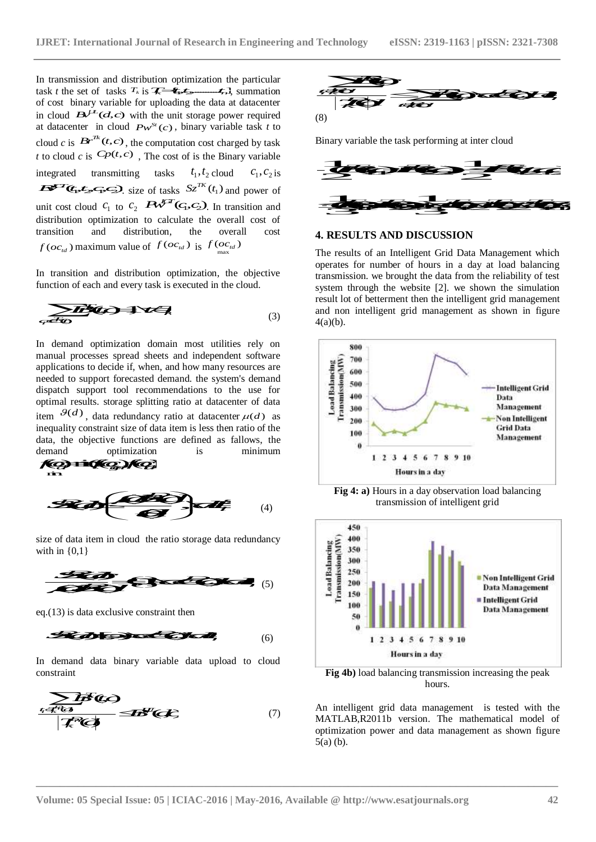In transmission and distribution optimization the particular task *t* the set of tasks  $T_k$  is  $\overline{X}$   $\overline{\mathcal{F}}$   $\overline{\mathcal{F}}$   $\overline{\mathcal{F}}$   $\overline{\mathcal{F}}$ , summation *T tt t k n* al of Research in Engineering and Technology<br>
on optimization the particular<br>  $\overline{f_1 f_2}$ , summation<br>
loading the data at datacenter<br>
e unit storage power required<br>
(c), binary variable task to<br>
putation cost charged by of cost binary variable for uploading the data at datacenter in cloud  $B^{(1)}(d,c)$  with the unit storage power required International Journal of Research in Engineering and Tech<br>
ission and distribution optimization the particular<br>
set of tasks  $T_k$  is  $\chi = \chi_1$ , summation<br>
inary variable for uploading the data at datacenter<br>  $B^{\int L} (d, c)$ at datacenter in cloud  $Pw^{St}(c)$ , binary variable task *t* to Journal of Research in Engineering and Technology<br>
vibution optimization the particular<br> *i*, is  $\overbrace{z = \epsilon_1 \epsilon_2 \cdots \epsilon_r}$ , summation<br>
for uploading the data at datacenter<br>
vith the unit storage power required<br>
(8)<br>  $Pw^{St}(c$ cloud *c* is  $Br^{\prime\prime}(t, c)$ , the computation cost charged by task thermational Journal of Research in Engineering and Tech<br>
ssion and distribution optimization the particular<br>
et of tasks  $T_k$  is  $\overline{X_{i-1}^*}$  is  $\overline{X_{i-1}^*}$ , summation<br>
hary variable for uploading the data at data *t* to cloud *c* is  $Cp(t, c)$ , The cost of is the Binary variable **national Journal of Research in Engineering and Techno<br>
<b>CP** and distribution optimization the particular<br> **CP** fasks  $T_k$  is  $\overline{X_k} = \overline{C_k}$ , summation<br>
variable for uploading the data at datacenter<br>
(*CA,c*) with the integrated transmitting tasks mization the particular<br>  $f_{r}$ , summation<br>
the data at datacenter<br>
torage power required (8)<br>
nary variable task t to<br>
n cost charged by task<br>
is the Binary variable<br>  $t_1, t_2$  cloud  $c_1, c_2$  is<br>  $t_2^{rK}$  ( $t_1$ ) and p cloud  $c_1, c_2$  is (JRET: International Journal of Research in Engineering and Techtral and International Control of the set of tasks  $\tau_k$  is  $\overline{\tau_k} = \overline{\epsilon_1}$ , summation<br>
of cost binary variable for uploading the data at datacenter<br>
of c size of tasks  $Sz^{n}(t_1)$  and power of Research in Engineering and Technology<br>
imization the particular<br>
for the data at datacenter<br>
storage power required<br>
inary variable task t to<br>
on cost charged by task<br>
on cost charged by task<br>
f is the Binary variable<br>
f unit cost cloud  $c_1$  to  $c_2$   $\mathbb{R}^{n \times n}$  (*G*, *G*<sub>2</sub>). In transition and  $\equiv$ 2 *c* 1 *c* is  $\pi$  *c* is  $\pi$  *c* is  $\pi$  *c* is  $\pi$  *c* is  $\pi$  *c c*  $\pi$ *, is*  $\pi$  $\pi$ *, is*  $\pi$  $\pi$ *, is*  $\pi$  $\pi$ *, is*  $\pi$  $\pi$ *, is*  $\pi$  $\pi$ *, is*  $\pi$  $\pi$ *,*  $\pi$ *,*  $\pi$ *,*  $\pi$  *and a a datacenter with the unit stor* distribution optimization to calculate the overall cost of transition and distribution, the overall cost JRET: International Journal of Research in Engineer<br>
n transmission and distribution optimization the particular<br>
ask t the set of tasks  $T_k$  is  $\chi_k = \chi_1$ , summation<br>
f cost binary variable for uploading the data at data maximum value of  $f(oc_{td})$  is mal of Research in Engineering and Technology<br>
on optimization the particular<br>  $\begin{array}{c}\n\overbrace{\leftarrow{\bullet_{\bullet}}},\overbrace{\leftarrow{\bullet_{\bullet}}},\overbrace{\leftarrow{\bullet_{\bullet}}},\overbrace{\leftarrow{\bullet_{\bullet}}},\overbrace{\leftarrow{\bullet_{\bullet}}},\overbrace{\leftarrow{\bullet_{\bullet}}},\overbrace{\leftarrow{\bullet_{\bullet}}},\overbrace{\leftarrow{\bullet_{\bullet}}},\overbrace{\leftarrow{\bullet_{\bullet}}},\overbrace{\leftarrow{\bullet_{\bullet}}},\overbrace$ (a) the particular<br>
(a)  $\bullet$  **f** of  $\bullet$  **f**  $\bullet$  **f**  $\bullet$  **f**  $\bullet$  **f**  $\bullet$  **f**  $\bullet$  **f**  $\bullet$  **f**  $\bullet$  **f**  $\bullet$  **f**  $\bullet$  **f**  $\bullet$  **f**  $\bullet$  **f**  $\bullet$  **f**  $\bullet$  **f**  $\bullet$  **f**  $\bullet$  **f**  $\bullet$  **f**  $\bullet$  **f**  $\bullet$  **f**  $\bullet$  **f**  $\bullet$  International Journal of Research in Engineering and Technology eISSN: 231<br>
mission and distribution optimization the particular<br>
binary variable for uploading the data at diatecenter<br> *Bart Coc*, which unit stronger powe *f*(*AEF*): International Journal of Research in Engineering and Technology<br>
at transmission and distribution optimization the particular<br>
sk, *t* the set of tasks  $7$ ; is  $\overline{4 - 49 - 6}$ .  $-3$ , 2), an<br>
and dond  $AA^{1/2}$  : International Journal of Research in Engineering and Tech<br>
unission and distribution optimization the particular<br>
which is external of the said statements<br>
binary variable for uphoding the data statements of<br>
binary v ET: Literational Journal of Research in Engineering and Technology elses\19.13-1431 pISSN: 2212-7308<br>
contrained and detective equation to particular the probability of the state of the contrained and the contrained and t International Journal of Research in Engineering and Technology et SSN: 2.19-11<br>
sisten and distribution optimization the particular<br>
set is able to the form of the collection of the same of the same of the same of the sa EFT interminion is defining the control is piecewise point if relating the same of the same of the same of the same of the same of the same of the same of the same of the same of the same of the same of the same of the sa **Example 10**<br>
So to take  $s^2$  is  $\pi$  or the nuit storage power requires<br>  $B^2^L(G,c)$  with the nuit storage power requirements<br>  $B^2^L(G,c)$ , the computation cost charged by tas<br>
for  $B^L(G,c)$ , the computation cost charged b with the unit storage power required (8)<br> *Br Dw*<sup>*n*</sup> (c), binary variable task t (0)<br>
the computation cost charged by task<br>
2). The cost of is the Binary variable<br>
ing tasks  $t_1, t_2$  cloud  $c_1, c_2$  is<br>
size of tasks **EVALUATION** CONTROLLATION (6)<br> **EXECUATION** Controllation and storage lower terms is the state of the state of the state of the BCP(c), binary variable leak t it<br>
c is  $B^{\mu\nu}(\mathbf{r},\mathbf{c})$ , the computation cost charged

In transition and distribution optimization, the objective

function of each and every task is executed in the cloud. *<sup>k</sup>*(,)1, () *Tk i T k cCt* (3)

In demand optimization domain most utilities rely on manual processes spread sheets and independent software applications to decide if, when, and how many resources are needed to support forecasted demand. the system's demand dispatch support tool recommendations to the use for optimal results. storage splitting ratio at datacenter of data item  $\mathcal{P}(d)$ , data redundancy ratio at datacenter  $\mu(d)$  as Fraction and distribution optimization, the objective<br>
on of each and every task is executed in the cloud.<br>
Fraction<br>  $\overline{3}$  and<br>  $\overline{4}$  and<br>  $\overline{4}$  and<br>  $\overline{4}$  and<br>  $\overline{4}$  and<br>  $\overline{4}$  and<br>  $\overline{4}$  and<br>  $\overline$ inequality constraint size of data item is less then ratio of the data, the objective functions are defined as fallows, the demand optimization is minimum  $\sqrt{Q}$ demand optimization is minimum Korisko Kor *taliana* processes special sites and interpendent solution<br>to decide if, when, and how many resources are also<br>tispatch support forceasted demand. the system's demandiary resources in<br>explicit support forceasted demand.



size of data item in cloud the ratio storage data redundancy with in  ${0,1}$ 



eq.(13) is data exclusive constraint then

$$
\mathcal{R} \blacktriangle \mathbf{B} \blacktriangle \mathcal{R} \blacktriangle \mathcal{R}
$$
 (6)

In demand data binary variable data upload to cloud constraint

() (,) (,) () *k Di D k* (7)



Binary variable the task performing at inter cloud



#### **4. RESULTS AND DISCUSSION**

max<sup>11</sup> The results of an Intelligent Grid Data Management which transition and distribution optimization, the objective<br>action of each and every task is executed in the cloud.<br>The cloud of betterment then the intelligent grid management<br>and non intelligent grid management as shown in operates for number of hours in a day at load balancing transmission. we brought the data from the reliability of test system through the website [2]. we shown the simulation result lot of betterment then the intelligent grid management and non intelligent grid management as shown in figure 4(a)(b).



**Fig 4: a)** Hours in a day observation load balancing transmission of intelligent grid



**Fig 4b)** load balancing transmission increasing the peak hours.

An intelligent grid data management is tested with the MATLAB,R2011b version. The mathematical model of optimization power and data management as shown figure 5(a) (b).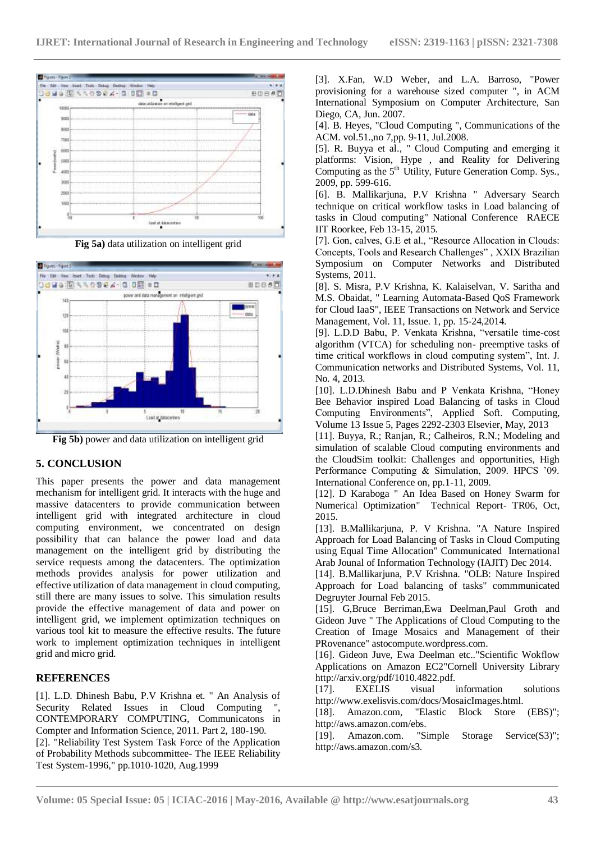

**Fig 5a)** data utilization on intelligent grid



**Fig 5b)** power and data utilization on intelligent grid

# **5. CONCLUSION**

This paper presents the power and data management mechanism for intelligent grid. It interacts with the huge and massive datacenters to provide communication between intelligent grid with integrated architecture in cloud computing environment, we concentrated on design possibility that can balance the power load and data management on the intelligent grid by distributing the service requests among the datacenters. The optimization methods provides analysis for power utilization and effective utilization of data management in cloud computing, still there are many issues to solve. This simulation results provide the effective management of data and power on intelligent grid, we implement optimization techniques on various tool kit to measure the effective results. The future work to implement optimization techniques in intelligent grid and micro grid.

## **REFERENCES**

[1]. L.D. Dhinesh Babu, P.V Krishna et. " An Analysis of Security Related Issues in Cloud Computing CONTEMPORARY COMPUTING, Communicatons in Compter and Information Science, 2011. Part 2, 180-190. [2]. "Reliability Test System Task Force of the Application of Probability Methods subcommittee- The IEEE Reliability Test System-1996," pp.1010-1020, Aug.1999

[3]. X.Fan, W.D Weber, and L.A. Barroso, "Power provisioning for a warehouse sized computer ", in ACM International Symposium on Computer Architecture, San Diego, CA, Jun. 2007.

[4]. B. Heyes, "Cloud Computing ", Communications of the ACM. vol.51.,no 7,pp. 9-11, Jul.2008.

[5]. R. Buyya et al., " Cloud Computing and emerging it platforms: Vision, Hype , and Reality for Delivering Computing as the  $5<sup>th</sup>$  Utility, Future Generation Comp. Sys., 2009, pp. 599-616.

[6]. B. Mallikarjuna, P.V Krishna " Adversary Search technique on critical workflow tasks in Load balancing of tasks in Cloud computing" National Conference RAECE IIT Roorkee, Feb 13-15, 2015.

[7]. Gon, calves, G.E et al., "Resource Allocation in Clouds: Concepts, Tools and Research Challenges" , XXIX Brazilian Symposium on Computer Networks and Distributed Systems, 2011.

[8]. S. Misra, P.V Krishna, K. Kalaiselvan, V. Saritha and M.S. Obaidat, " Learning Automata-Based QoS Framework for Cloud IaaS", IEEE Transactions on Network and Service Management, Vol. 11, Issue. 1, pp. 15-24,2014.

[9]. L.D.D Babu, P. Venkata Krishna, "versatile time-cost algorithm (VTCA) for scheduling non- preemptive tasks of time critical workflows in cloud computing system", Int. J. Communication networks and Distributed Systems, Vol. 11, No. 4, 2013.

[10]. L.D.Dhinesh Babu and P Venkata Krishna, "Honey Bee Behavior inspired Load Balancing of tasks in Cloud Computing Environments", Applied Soft. Computing, Volume 13 Issue 5, Pages 2292-2303 Elsevier, May, 2013

[11]. Buyya, R.; Ranjan, R.; Calheiros, R.N.; Modeling and simulation of scalable Cloud computing environments and the CloudSim toolkit: Challenges and opportunities, High Performance Computing & Simulation, 2009. HPCS '09. International Conference on, pp.1-11, 2009.

[12]. D Karaboga " An Idea Based on Honey Swarm for Numerical Optimization" Technical Report- TR06, Oct, 2015.

[13]. B.Mallikarjuna, P. V Krishna. "A Nature Inspired Approach for Load Balancing of Tasks in Cloud Computing using Equal Time Allocation" Communicated International Arab Jounal of Information Technology (IAJIT) Dec 2014.

[14]. B.Mallikarjuna, P.V Krishna. "OLB: Nature Inspired Approach for Load balancing of tasks" commmunicated Degruyter Journal Feb 2015.

[15]. G,Bruce Berriman,Ewa Deelman,Paul Groth and Gideon Juve " The Applications of Cloud Computing to the Creation of Image Mosaics and Management of their PRovenance" astocompute.wordpress.com.

[16]. Gideon Juve, Ewa Deelman etc.."Scientific Wokflow Applications on Amazon EC2"Cornell University Library http://arxiv.org/pdf/1010.4822.pdf.

[17]. EXELIS visual information solutions http://www.exelisvis.com/docs/MosaicImages.html.

[18]. Amazon.com, "Elastic Block Store (EBS)"; http://aws.amazon.com/ebs.

[19]. Amazon.com. "Simple Storage Service(S3)"; http://aws.amazon.com/s3.